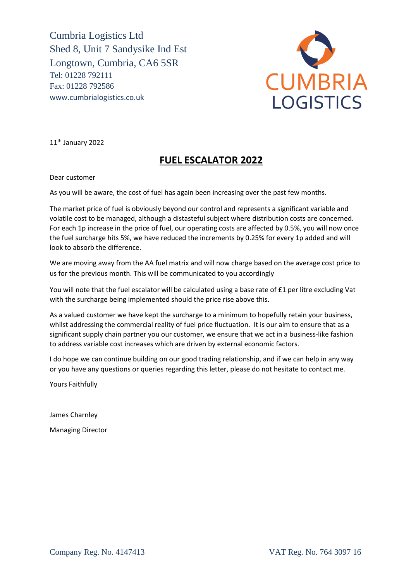Cumbria Logistics Ltd Shed 8, Unit 7 Sandysike Ind Est Longtown, Cumbria, CA6 5SR Tel: 01228 792111 Fax: 01228 792586 www.cumbrialogistics.co.uk



11th January 2022

## **FUEL ESCALATOR 2022**

Dear customer

As you will be aware, the cost of fuel has again been increasing over the past few months.

The market price of fuel is obviously beyond our control and represents a significant variable and volatile cost to be managed, although a distasteful subject where distribution costs are concerned. For each 1p increase in the price of fuel, our operating costs are affected by 0.5%, you will now once the fuel surcharge hits 5%, we have reduced the increments by 0.25% for every 1p added and will look to absorb the difference.

We are moving away from the AA fuel matrix and will now charge based on the average cost price to us for the previous month. This will be communicated to you accordingly

You will note that the fuel escalator will be calculated using a base rate of £1 per litre excluding Vat with the surcharge being implemented should the price rise above this.

As a valued customer we have kept the surcharge to a minimum to hopefully retain your business, whilst addressing the commercial reality of fuel price fluctuation. It is our aim to ensure that as a significant supply chain partner you our customer, we ensure that we act in a business-like fashion to address variable cost increases which are driven by external economic factors.

I do hope we can continue building on our good trading relationship, and if we can help in any way or you have any questions or queries regarding this letter, please do not hesitate to contact me.

Yours Faithfully

James Charnley

Managing Director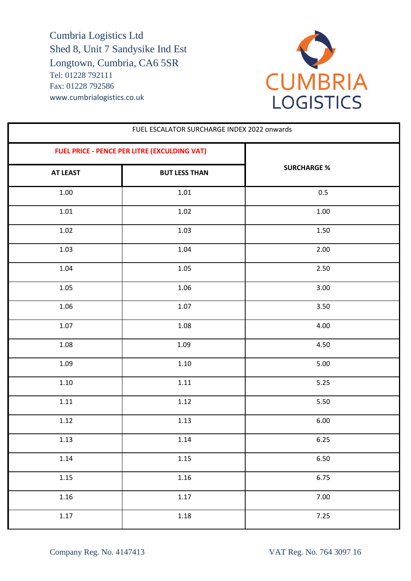Cumbria Logistics Ltd Shed 8, Unit 7 Sandysike Ind Est Longtown, Cumbria, CA6 5SR Tel: 01228 792111 Fax: 01228 792586 www.cumbrialogistics.co.uk



| FUEL ESCALATOR SURCHARGE INDEX 2022 onwards  |                      |                    |
|----------------------------------------------|----------------------|--------------------|
| FUEL PRICE - PENCE PER LITRE (EXCULDING VAT) |                      |                    |
| <b>AT LEAST</b>                              | <b>BUT LESS THAN</b> | <b>SURCHARGE %</b> |
| $1.00\,$                                     | $1.01\,$             | 0.5                |
| 1.01                                         | 1.02                 | 1.00               |
| 1.02                                         | 1.03                 | 1.50               |
| 1.03                                         | 1.04                 | 2.00               |
| 1.04                                         | 1.05                 | 2.50               |
| 1.05                                         | 1.06                 | 3.00               |
| 1.06                                         | 1.07                 | 3.50               |
| 1.07                                         | 1.08                 | 4.00               |
| 1.08                                         | 1.09                 | 4.50               |
| 1.09                                         | 1.10                 | 5.00               |
| $1.10\,$                                     | $1.11\,$             | 5.25               |
| 1.11                                         | 1.12                 | 5.50               |
| 1.12                                         | 1.13                 | 6.00               |
| 1.13                                         | 1.14                 | 6.25               |
| 1.14                                         | 1.15                 | 6.50               |
| 1.15                                         | $1.16\,$             | 6.75               |
| 1.16                                         | 1.17                 | 7.00               |
| 1.17                                         | $1.18\,$             | 7.25               |